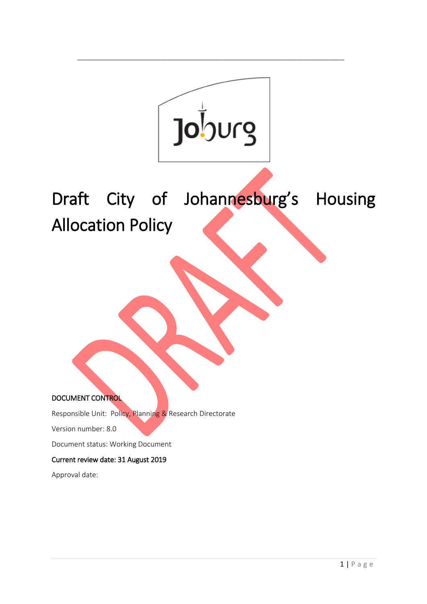

\_\_\_\_\_\_\_\_\_\_\_\_\_\_\_\_\_\_\_\_\_\_\_\_\_\_\_\_\_\_\_\_\_\_\_\_\_\_\_\_\_\_\_\_\_\_\_\_\_\_\_\_\_\_\_\_\_\_\_\_\_\_\_\_\_\_\_\_

Draft City of Johannesburg's Housing Allocation Policy

DOCUMENT CONTROL

Responsible Unit: Policy, Planning & Research Directorate

Version number: 8.0

Document status: Working Document

#### Current review date: 31 August 2019

Approval date: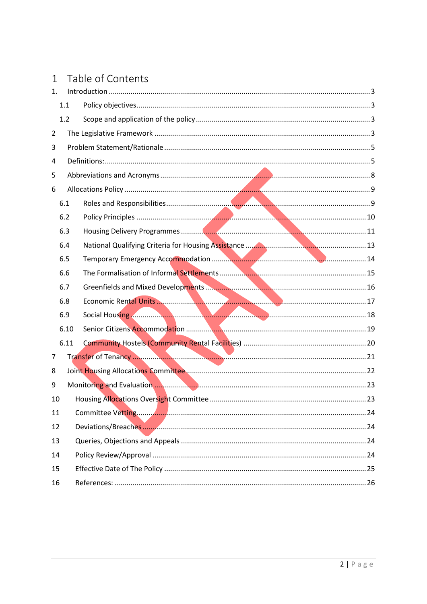# 1 Table of Contents

| 1.             |      |  |
|----------------|------|--|
|                | 1.1  |  |
|                | 1.2  |  |
| $\overline{2}$ |      |  |
| 3              |      |  |
| 4              |      |  |
| 5              |      |  |
| 6              |      |  |
|                | 6.1  |  |
|                | 6.2  |  |
|                | 6.3  |  |
|                | 6.4  |  |
|                | 6.5  |  |
|                | 6.6  |  |
|                | 6.7  |  |
|                | 6.8  |  |
|                | 6.9  |  |
|                | 6.10 |  |
|                | 6.11 |  |
| 7              |      |  |
| 8              |      |  |
| 9              |      |  |
| 10             |      |  |
| 11             |      |  |
| 12             |      |  |
| 13             |      |  |
| 14             |      |  |
| 15             |      |  |
| 16             |      |  |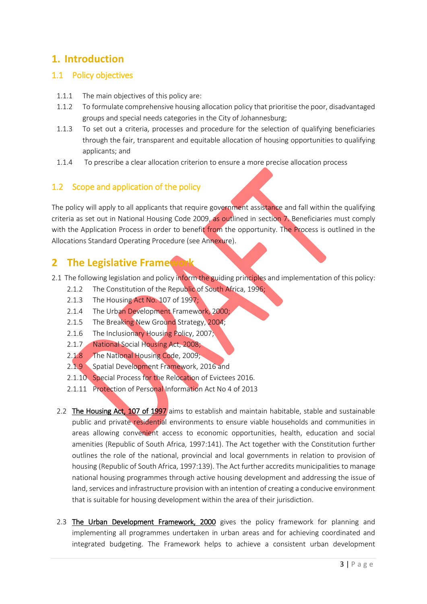# <span id="page-2-0"></span>**1. Introduction**

## <span id="page-2-1"></span>1.1 Policy objectives

- 1.1.1 The main objectives of this policy are:
- 1.1.2 To formulate comprehensive housing allocation policy that prioritise the poor, disadvantaged groups and special needs categories in the City of Johannesburg;
- 1.1.3 To set out a criteria, processes and procedure for the selection of qualifying beneficiaries through the fair, transparent and equitable allocation of housing opportunities to qualifying applicants; and
- 1.1.4 To prescribe a clear allocation criterion to ensure a more precise allocation process

# <span id="page-2-2"></span>1.2 Scope and application of the policy

The policy will apply to all applicants that require government assistance and fall within the qualifying criteria as set out in National Housing Code 2009, as outlined in section 7. Beneficiaries must comply with the Application Process in order to benefit from the opportunity. The Process is outlined in the Allocations Standard Operating Procedure (see Annexure).

# <span id="page-2-3"></span>**2 The Legislative Framework**

- 2.1 The following legislation and policy inform the guiding principles and implementation of this policy:
	- 2.1.2 The Constitution of the Republic of South Africa, 1996;
	- 2.1.3 The Housing Act No. 107 of 1997;
	- 2.1.4 The Urban Development Framework, 2000;
	- 2.1.5 The Breaking New Ground Strategy, 2004;
	- 2.1.6 The Inclusionary Housing Policy, 2007;
	- 2.1.7 National Social Housing Act, 2008;
	- 2.1.8 The National Housing Code, 2009;
	- 2.1.9 Spatial Development Framework, 2016 and
	- 2.1.10 Special Process for the Relocation of Evictees 2016.
	- 2.1.11 Protection of Personal Information Act No 4 of 2013
	- 2.2 The Housing Act, 107 of 1997 aims to establish and maintain habitable, stable and sustainable public and private residential environments to ensure viable households and communities in areas allowing convenient access to economic opportunities, health, education and social amenities (Republic of South Africa, 1997:141). The Act together with the Constitution further outlines the role of the national, provincial and local governments in relation to provision of housing (Republic of South Africa, 1997:139). The Act further accredits municipalities to manage national housing programmes through active housing development and addressing the issue of land, services and infrastructure provision with an intention of creating a conducive environment that is suitable for housing development within the area of their jurisdiction.
	- 2.3 The Urban Development Framework, 2000 gives the policy framework for planning and implementing all programmes undertaken in urban areas and for achieving coordinated and integrated budgeting. The Framework helps to achieve a consistent urban development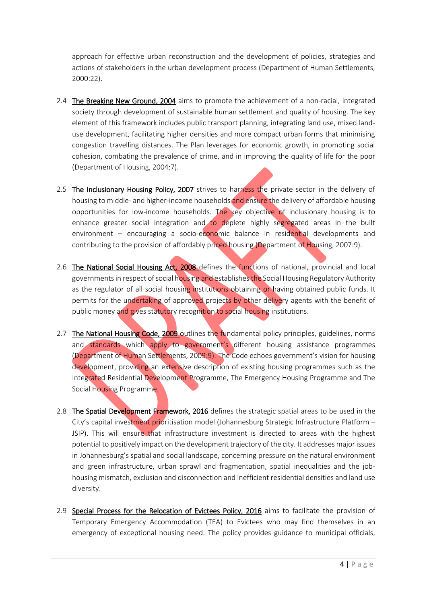approach for effective urban reconstruction and the development of policies, strategies and actions of stakeholders in the urban development process (Department of Human Settlements, 2000:22).

- 2.4 The Breaking New Ground, 2004 aims to promote the achievement of a non-racial, integrated society through development of sustainable human settlement and quality of housing. The key element of this framework includes public transport planning, integrating land use, mixed landuse development, facilitating higher densities and more compact urban forms that minimising congestion travelling distances. The Plan leverages for economic growth, in promoting social cohesion, combating the prevalence of crime, and in improving the quality of life for the poor (Department of Housing, 2004:7).
- 2.5 The Inclusionary Housing Policy, 2007 strives to harness the private sector in the delivery of housing to middle- and higher-income households and ensure the delivery of affordable housing opportunities for low-income households. The key objective of inclusionary housing is to enhance greater social integration and to deplete highly segregated areas in the built environment – encouraging a socio-economic balance in residential developments and contributing to the provision of affordably priced housing (Department of Housing, 2007:9).
- 2.6 The National Social Housing Act, 2008 defines the functions of national, provincial and local governments in respect of social housing and establishes the Social Housing Regulatory Authority as the regulator of all social housing institutions obtaining or having obtained public funds. It permits for the undertaking of approved projects by other delivery agents with the benefit of public money and gives statutory recognition to social housing institutions.
- 2.7 The National Housing Code, 2009 outlines the fundamental policy principles, guidelines, norms and standards which apply to government's different housing assistance programmes (Department of Human Settlements, 2009:9). The Code echoes government's vision for housing development, providing an extensive description of existing housing programmes such as the Integrated Residential Development Programme, The Emergency Housing Programme and The Social Housing Programme.
- 2.8 The Spatial Development Framework, 2016 defines the strategic spatial areas to be used in the City's capital investment prioritisation model (Johannesburg Strategic Infrastructure Platform – JSIP). This will ensure that infrastructure investment is directed to areas with the highest potential to positively impact on the development trajectory of the city. It addresses major issues in Johannesburg's spatial and social landscape, concerning pressure on the natural environment and green infrastructure, urban sprawl and fragmentation, spatial inequalities and the jobhousing mismatch, exclusion and disconnection and inefficient residential densities and land use diversity.
- 2.9 Special Process for the Relocation of Evictees Policy, 2016 aims to facilitate the provision of Temporary Emergency Accommodation (TEA) to Evictees who may find themselves in an emergency of exceptional housing need. The policy provides guidance to municipal officials,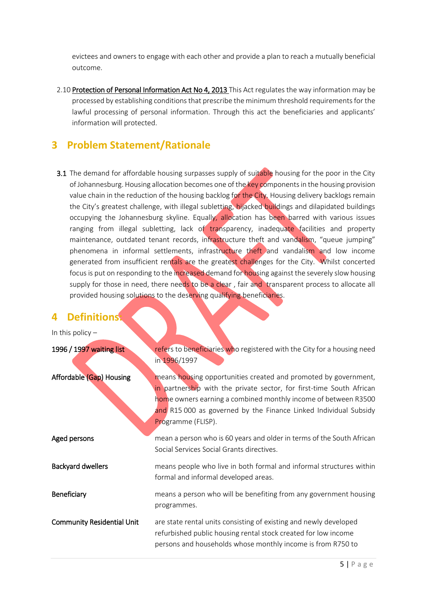evictees and owners to engage with each other and provide a plan to reach a mutually beneficial outcome.

2.10 Protection of Personal Information Act No 4, 2013 This Act regulates the way information may be processed by establishing conditions that prescribe the minimum threshold requirements for the lawful processing of personal information. Through this act the beneficiaries and applicants' information will protected.

# <span id="page-4-0"></span>**3 Problem Statement/Rationale**

3.1 The demand for affordable housing surpasses supply of suitable housing for the poor in the City of Johannesburg. Housing allocation becomes one of the key components in the housing provision value chain in the reduction of the housing backlog for the City. Housing delivery backlogs remain the City's greatest challenge, with illegal subletting, hijacked buildings and dilapidated buildings occupying the Johannesburg skyline. Equally, allocation has been barred with various issues ranging from illegal subletting, lack of transparency, inadequate facilities and property maintenance, outdated tenant records, infrastructure theft and vandalism, "queue jumping" phenomena in informal settlements, infrastructure theft and vandalism and low income generated from insufficient rentals are the greatest challenges for the City. Whilst concerted focus is put on responding to the increased demand for housing against the severely slow housing supply for those in need, there needs to be a clear, fair and transparent process to allocate all provided housing solutions to the deserving qualifying beneficiaries.

# <span id="page-4-1"></span>**4 Definitions:**

| In this policy $-$                |                                                                                                                                                                                                                                                                                                     |  |  |
|-----------------------------------|-----------------------------------------------------------------------------------------------------------------------------------------------------------------------------------------------------------------------------------------------------------------------------------------------------|--|--|
| 1996 / 1997 waiting list          | refers to beneficiaries who registered with the City for a housing need<br>in 1996/1997                                                                                                                                                                                                             |  |  |
| Affordable (Gap) Housing          | means housing opportunities created and promoted by government,<br>in partnership with the private sector, for first-time South African<br>home owners earning a combined monthly income of between R3500<br>and R15 000 as governed by the Finance Linked Individual Subsidy<br>Programme (FLISP). |  |  |
| Aged persons                      | mean a person who is 60 years and older in terms of the South African<br>Social Services Social Grants directives.                                                                                                                                                                                  |  |  |
| <b>Backyard dwellers</b>          | means people who live in both formal and informal structures within<br>formal and informal developed areas.                                                                                                                                                                                         |  |  |
| Beneficiary                       | means a person who will be benefiting from any government housing<br>programmes.                                                                                                                                                                                                                    |  |  |
| <b>Community Residential Unit</b> | are state rental units consisting of existing and newly developed<br>refurbished public housing rental stock created for low income<br>persons and households whose monthly income is from R750 to                                                                                                  |  |  |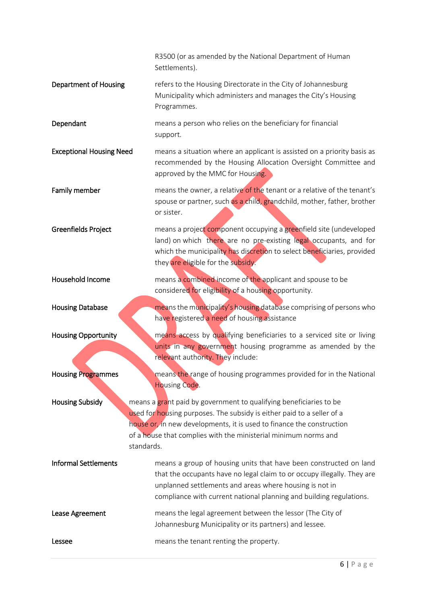|                                 | R3500 (or as amended by the National Department of Human<br>Settlements).                                                                                                                                                                                                                              |
|---------------------------------|--------------------------------------------------------------------------------------------------------------------------------------------------------------------------------------------------------------------------------------------------------------------------------------------------------|
| <b>Department of Housing</b>    | refers to the Housing Directorate in the City of Johannesburg<br>Municipality which administers and manages the City's Housing<br>Programmes.                                                                                                                                                          |
| Dependant                       | means a person who relies on the beneficiary for financial<br>support.                                                                                                                                                                                                                                 |
| <b>Exceptional Housing Need</b> | means a situation where an applicant is assisted on a priority basis as<br>recommended by the Housing Allocation Oversight Committee and<br>approved by the MMC for Housing.                                                                                                                           |
| Family member                   | means the owner, a relative of the tenant or a relative of the tenant's<br>spouse or partner, such as a child, grandchild, mother, father, brother<br>or sister.                                                                                                                                       |
| Greenfields Project             | means a project component occupying a greenfield site (undeveloped<br>land) on which there are no pre-existing legal occupants, and for<br>which the municipality has discretion to select beneficiaries, provided<br>they are eligible for the subsidy.                                               |
| Household Income                | means a combined income of the applicant and spouse to be<br>considered for eligibility of a housing opportunity.                                                                                                                                                                                      |
|                                 |                                                                                                                                                                                                                                                                                                        |
| <b>Housing Database</b>         | means the municipality's housing database comprising of persons who<br>have registered a need of housing assistance                                                                                                                                                                                    |
| <b>Housing Opportunity</b>      | means access by qualifying beneficiaries to a serviced site or living<br>units in any government housing programme as amended by the<br>relevant authority. They include:                                                                                                                              |
| Housing Programmes              | means the range of housing programmes provided for in the National<br><b>Housing Code.</b>                                                                                                                                                                                                             |
| <b>Housing Subsidy</b>          | means a grant paid by government to qualifying beneficiaries to be<br>used for housing purposes. The subsidy is either paid to a seller of a<br>house or, in new developments, it is used to finance the construction<br>of a house that complies with the ministerial minimum norms and<br>standards. |
| <b>Informal Settlements</b>     | means a group of housing units that have been constructed on land<br>that the occupants have no legal claim to or occupy illegally. They are<br>unplanned settlements and areas where housing is not in<br>compliance with current national planning and building regulations.                         |
| Lease Agreement                 | means the legal agreement between the lessor (The City of<br>Johannesburg Municipality or its partners) and lessee.                                                                                                                                                                                    |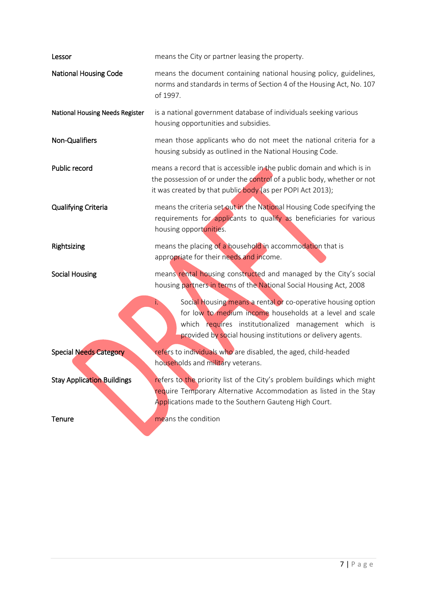| Lessor                            | means the City or partner leasing the property.                                                                                                                                                                                                       |  |  |
|-----------------------------------|-------------------------------------------------------------------------------------------------------------------------------------------------------------------------------------------------------------------------------------------------------|--|--|
| <b>National Housing Code</b>      | means the document containing national housing policy, guidelines,<br>norms and standards in terms of Section 4 of the Housing Act, No. 107<br>of 1997.                                                                                               |  |  |
| National Housing Needs Register   | is a national government database of individuals seeking various<br>housing opportunities and subsidies.                                                                                                                                              |  |  |
| Non-Qualifiers                    | mean those applicants who do not meet the national criteria for a<br>housing subsidy as outlined in the National Housing Code.                                                                                                                        |  |  |
| Public record                     | means a record that is accessible in the public domain and which is in<br>the possession of or under the control of a public body, whether or not<br>it was created by that public body (as per POPI Act 2013);                                       |  |  |
| <b>Qualifying Criteria</b>        | means the criteria set out in the National Housing Code specifying the<br>requirements for applicants to qualify as beneficiaries for various<br>housing opportunities.                                                                               |  |  |
| Rightsizing                       | means the placing of a household in accommodation that is                                                                                                                                                                                             |  |  |
|                                   | appropriate for their needs and income.                                                                                                                                                                                                               |  |  |
| <b>Social Housing</b>             | means rental housing constructed and managed by the City's social<br>housing partners in terms of the National Social Housing Act, 2008                                                                                                               |  |  |
|                                   | Social Housing means a rental or co-operative housing option<br>i.<br>for low to medium income households at a level and scale<br>which requires institutionalized management which is<br>provided by social housing institutions or delivery agents. |  |  |
| <b>Special Needs Category</b>     | refers to individuals who are disabled, the aged, child-headed<br>households and military veterans.                                                                                                                                                   |  |  |
| <b>Stay Application Buildings</b> | refers to the priority list of the City's problem buildings which might<br>require Temporary Alternative Accommodation as listed in the Stay<br>Applications made to the Southern Gauteng High Court.                                                 |  |  |

**Contract**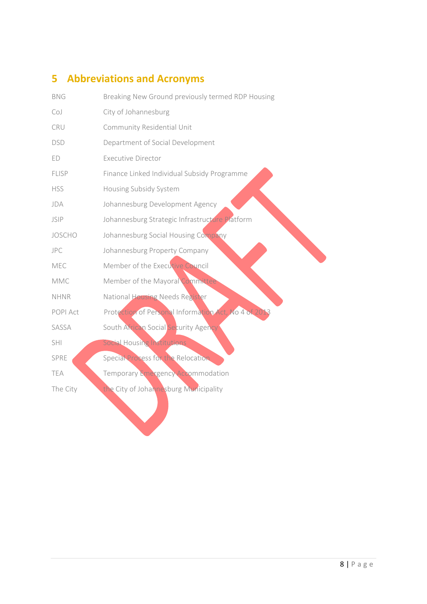# <span id="page-7-0"></span>**5 Abbreviations and Acronyms**

| <b>BNG</b>    | Breaking New Ground previously termed RDP Housing    |
|---------------|------------------------------------------------------|
| CoJ           | City of Johannesburg                                 |
| CRU           | Community Residential Unit                           |
| DSD           | Department of Social Development                     |
| ED            | <b>Executive Director</b>                            |
| FLISP         | Finance Linked Individual Subsidy Programme          |
| <b>HSS</b>    | Housing Subsidy System                               |
| JDA           | Johannesburg Development Agency                      |
| JSIP          | Johannesburg Strategic Infrastructure Platform       |
| <b>JOSCHO</b> | Johannesburg Social Housing Company                  |
| JPC           | Johannesburg Property Company                        |
| MEC           | Member of the Executive Council                      |
| MMC           | Member of the Mayoral Committee                      |
| <b>NHNR</b>   | National Housing Needs Register                      |
| POPI Act      | Protection of Personal Information Act, No 4 of 2013 |
| SASSA         | South African Social Security Agency                 |
| SHI           | <b>Social Housing Institutions</b>                   |
| SPRE          | Special Process for the Relocation                   |
| TEA           | Temporary Emergency Accommodation                    |
| The City      | the City of Johannesburg Municipality                |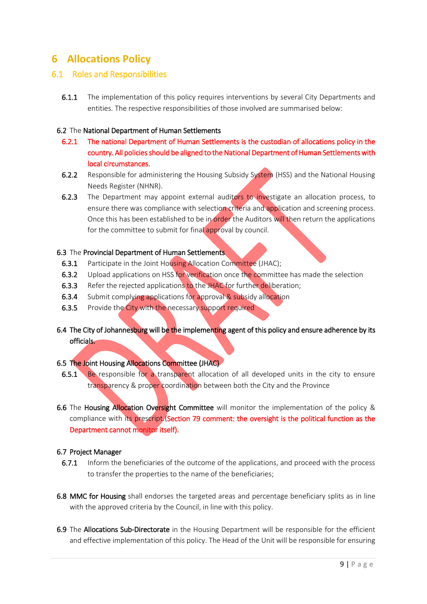# <span id="page-8-0"></span>**6 Allocations Policy**

#### <span id="page-8-1"></span>6.1 Roles and Responsibilities

**6.1.1** The implementation of this policy requires interventions by several City Departments and entities. The respective responsibilities of those involved are summarised below:

#### 6.2 The National Department of Human Settlements

- 6.2.1 The national Department of Human Settlements is the custodian of allocations policy in the country. All policies should be aligned to the National Department of Human Settlements with local circumstances.
- 6.2.2 Responsible for administering the Housing Subsidy System (HSS) and the National Housing Needs Register (NHNR).
- 6.2.3 The Department may appoint external auditors to investigate an allocation process, to ensure there was compliance with selection criteria and application and screening process. Once this has been established to be in order the Auditors will then return the applications for the committee to submit for final approval by council.

#### 6.3 The Provincial Department of Human Settlements

- 6.3.1 Participate in the Joint Housing Allocation Committee (JHAC);
- 6.3.2 Upload applications on HSS for verification once the committee has made the selection
- 6.3.3 Refer the rejected applications to the JHAC for further deliberation;
- 6.3.4 Submit complying applications for approval & subsidy allocation
- 6.3.5 Provide the City with the necessary support required
- 6.4 The City of Johannesburg will be the implementing agent of this policy and ensure adherence by its officials.

#### 6.5 The Joint Housing Allocations Committee (JHAC)

- 6.5.1 Be responsible for a transparent allocation of all developed units in the city to ensure transparency & proper coordination between both the City and the Province
- 6.6 The Housing Allocation Oversight Committee will monitor the implementation of the policy & compliance with its prescript.(Section 79 comment: the oversight is the political function as the Department cannot monitor itself).

#### 6.7 Project Manager

- 6.7.1 Inform the beneficiaries of the outcome of the applications, and proceed with the process to transfer the properties to the name of the beneficiaries;
- 6.8 MMC for Housing shall endorses the targeted areas and percentage beneficiary splits as in line with the approved criteria by the Council, in line with this policy.
- 6.9 The Allocations Sub-Directorate in the Housing Department will be responsible for the efficient and effective implementation of this policy. The Head of the Unit will be responsible for ensuring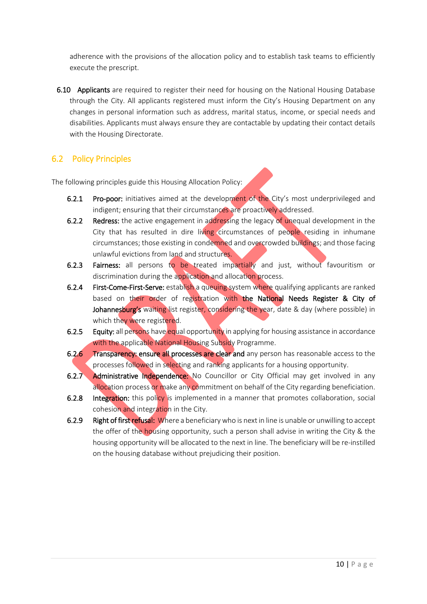adherence with the provisions of the allocation policy and to establish task teams to efficiently execute the prescript.

6.10 Applicants are required to register their need for housing on the National Housing Database through the City. All applicants registered must inform the City's Housing Department on any changes in personal information such as address, marital status, income, or special needs and disabilities. Applicants must always ensure they are contactable by updating their contact details with the Housing Directorate.

# <span id="page-9-0"></span>6.2 Policy Principles

The following principles guide this Housing Allocation Policy:

- 6.2.1 Pro-poor: initiatives aimed at the development of the City's most underprivileged and indigent; ensuring that their circumstances are proactively addressed.
- 6.2.2 Redress: the active engagement in addressing the legacy of unequal development in the City that has resulted in dire living circumstances of people residing in inhumane circumstances; those existing in condemned and overcrowded buildings; and those facing unlawful evictions from land and structures.
- 6.2.3 Fairness: all persons to be treated impartially and just, without favouritism or discrimination during the application and allocation process.
- 6.2.4 First-Come-First-Serve: establish a queuing system where qualifying applicants are ranked based on their order of registration with the National Needs Register & City of Johannesburg's waiting list register, considering the year, date & day (where possible) in which they were registered.
- 6.2.5 Equity: all persons have equal opportunity in applying for housing assistance in accordance with the applicable National Housing Subsidy Programme.
- 6.2.6 Transparency: ensure all processes are clear and any person has reasonable access to the processes followed in selecting and ranking applicants for a housing opportunity.
- 6.2.7 **Administrative Independence:** No Councillor or City Official may get involved in any allocation process or make any commitment on behalf of the City regarding beneficiation.
- 6.2.8 Integration: this policy is implemented in a manner that promotes collaboration, social cohesion and integration in the City.
- 6.2.9 Right of first refusal: Where a beneficiary who is next in line is unable or unwilling to accept the offer of the housing opportunity, such a person shall advise in writing the City & the housing opportunity will be allocated to the next in line. The beneficiary will be re-instilled on the housing database without prejudicing their position.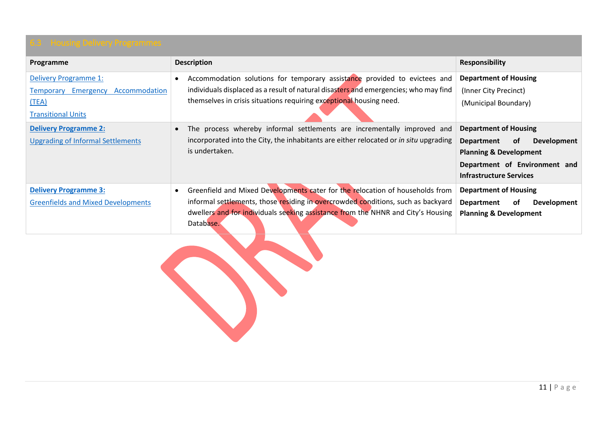<span id="page-10-0"></span>

| Programme                                 | <b>Description</b>                                                                    | <b>Responsibility</b>                         |
|-------------------------------------------|---------------------------------------------------------------------------------------|-----------------------------------------------|
| Delivery Programme 1:                     | Accommodation solutions for temporary assistance provided to evictees and             | <b>Department of Housing</b>                  |
| Accommodation<br>Temporary Emergency      | individuals displaced as a result of natural disasters and emergencies; who may find  | (Inner City Precinct)                         |
| (TEA)                                     | themselves in crisis situations requiring exceptional housing need.                   | (Municipal Boundary)                          |
| <b>Transitional Units</b>                 |                                                                                       |                                               |
| <b>Delivery Programme 2:</b>              | The process whereby informal settlements are incrementally improved and               | <b>Department of Housing</b>                  |
| <b>Upgrading of Informal Settlements</b>  | incorporated into the City, the inhabitants are either relocated or in situ upgrading | 0f<br>Development<br>Department               |
|                                           | is undertaken.                                                                        | <b>Planning &amp; Development</b>             |
|                                           |                                                                                       | Department of Environment and                 |
|                                           |                                                                                       | <b>Infrastructure Services</b>                |
| <b>Delivery Programme 3:</b>              | Greenfield and Mixed Developments cater for the relocation of households from         | <b>Department of Housing</b>                  |
| <b>Greenfields and Mixed Developments</b> | informal settlements, those residing in overcrowded conditions, such as backyard      | 0f<br><b>Department</b><br><b>Development</b> |
|                                           | dwellers and for individuals seeking assistance from the NHNR and City's Housing      | <b>Planning &amp; Development</b>             |
|                                           | Database.                                                                             |                                               |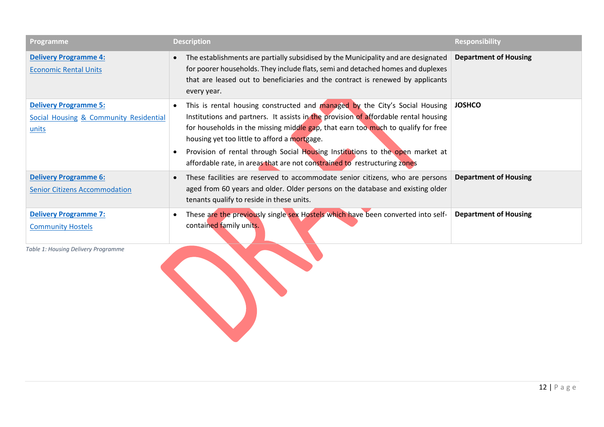| Programme                                                                                  | <b>Description</b>                                                                                                                                                                                                                                                                                                                                                                                                                                                   | <b>Responsibility</b>        |
|--------------------------------------------------------------------------------------------|----------------------------------------------------------------------------------------------------------------------------------------------------------------------------------------------------------------------------------------------------------------------------------------------------------------------------------------------------------------------------------------------------------------------------------------------------------------------|------------------------------|
| <b>Delivery Programme 4:</b><br><b>Economic Rental Units</b>                               | The establishments are partially subsidised by the Municipality and are designated<br>for poorer households. They include flats, semi and detached homes and duplexes<br>that are leased out to beneficiaries and the contract is renewed by applicants<br>every year.                                                                                                                                                                                               | <b>Department of Housing</b> |
| <b>Delivery Programme 5:</b><br><b>Social Housing &amp; Community Residential</b><br>units | This is rental housing constructed and managed by the City's Social Housing<br>Institutions and partners. It assists in the provision of affordable rental housing<br>for households in the missing middle gap, that earn too much to qualify for free<br>housing yet too little to afford a mortgage.<br>Provision of rental through Social Housing Institutions to the open market at<br>affordable rate, in areas that are not constrained to restructuring zones | <b>JOSHCO</b>                |
| <b>Delivery Programme 6:</b><br><b>Senior Citizens Accommodation</b>                       | These facilities are reserved to accommodate senior citizens, who are persons<br>aged from 60 years and older. Older persons on the database and existing older<br>tenants qualify to reside in these units.                                                                                                                                                                                                                                                         | <b>Department of Housing</b> |
| <b>Delivery Programme 7:</b><br><b>Community Hostels</b>                                   | These are the previously single sex Hostels which have been converted into self-<br>contained family units.                                                                                                                                                                                                                                                                                                                                                          | <b>Department of Housing</b> |
| Table 1: Housing Delivery Programme                                                        |                                                                                                                                                                                                                                                                                                                                                                                                                                                                      |                              |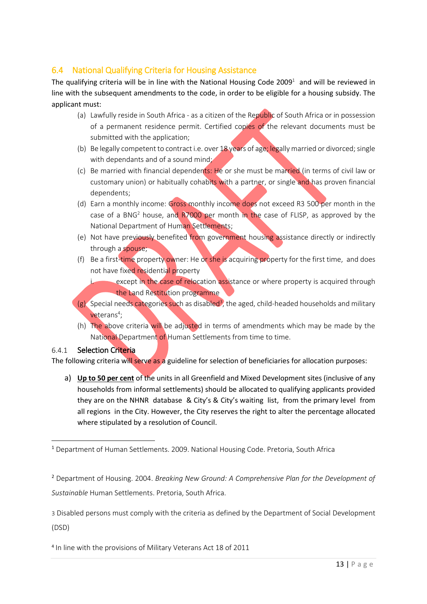# <span id="page-12-0"></span>6.4 National Qualifying Criteria for Housing Assistance

The qualifying criteria will be in line with the National Housing Code 2009<sup>1</sup> and will be reviewed in line with the subsequent amendments to the code, in order to be eligible for a housing subsidy. The applicant must:

- (a) Lawfully reside in South Africa as a citizen of the Republic of South Africa or in possession of a permanent residence permit. Certified copies of the relevant documents must be submitted with the application;
- (b) Be legally competent to contract i.e. over 18 years of age; legally married or divorced; single with dependants and of a sound mind;
- (c) Be married with financial dependents: He or she must be married (in terms of civil law or customary union) or habitually cohabits with a partner, or single and has proven financial dependents;
- (d) Earn a monthly income: Gross monthly income does not exceed R3 500 per month in the case of a BNG<sup>2</sup> house, and  $R7000$  per month in the case of FLISP, as approved by the National Department of Human Settlements;
- (e) Not have previously benefited from government housing assistance directly or indirectly through a spouse;
- (f) Be a first-time property owner: He or she is acquiring property for the first time, and does not have fixed residential property
	- except in the case of relocation assistance or where property is acquired through the Land Restitution programme
- $(g)$  Special needs categories such as disabled<sup>3</sup>, the aged, child-headed households and military veterans<sup>4</sup>;
- (h) The above criteria will be adjusted in terms of amendments which may be made by the National Department of Human Settlements from time to time.

#### 6.4.1 Selection Criteria

The following criteria will serve as a guideline for selection of beneficiaries for allocation purposes:

a) **Up to 50 per cent** of the units in all Greenfield and Mixed Development sites (inclusive of any households from informal settlements) should be allocated to qualifying applicants provided they are on the NHNR database & City's & City's waiting list, from the primary level from all regions in the City. However, the City reserves the right to alter the percentage allocated where stipulated by a resolution of Council.

<sup>2</sup> Department of Housing. 2004. *Breaking New Ground: A Comprehensive Plan for the Development of Sustainable* Human Settlements. Pretoria, South Africa.

3 Disabled persons must comply with the criteria as defined by the Department of Social Development (DSD)

4 In line with the provisions of Military Veterans Act 18 of 2011

<sup>1</sup> <sup>1</sup> Department of Human Settlements. 2009. National Housing Code. Pretoria, South Africa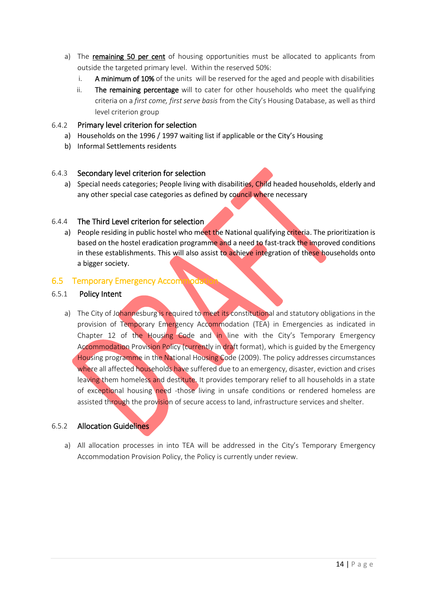- a) The remaining 50 per cent of housing opportunities must be allocated to applicants from outside the targeted primary level. Within the reserved 50%:
	- i. A minimum of 10% of the units will be reserved for the aged and people with disabilities
	- ii. The remaining percentage will to cater for other households who meet the qualifying criteria on a *first come, first serve basis* from the City's Housing Database, as well as third level criterion group

#### <span id="page-13-1"></span>6.4.2 Primary level criterion for selection

- a) Households on the 1996 / 1997 waiting list if applicable or the City's Housing
- b) Informal Settlements residents

#### 6.4.3 Secondary level criterion for selection

a) Special needs categories; People living with disabilities, Child headed households, elderly and any other special case categories as defined by council where necessary

#### 6.4.4 The Third Level criterion for selection

a) People residing in public hostel who meet the National qualifying criteria. The prioritization is based on the hostel eradication programme and a need to fast-track the improved conditions in these establishments. This will also assist to achieve integration of these households onto a bigger society.

#### <span id="page-13-0"></span>6.5 Temporary Emergency Accomm

#### 6.5.1 Policy Intent

a) The City of Johannesburg is required to meet its constitutional and statutory obligations in the provision of Temporary Emergency Accommodation (TEA) in Emergencies as indicated in Chapter 12 of the Housing Code and in line with the City's Temporary Emergency Accommodation Provision Policy (currently in draft format), which is guided by the Emergency Housing programme in the National Housing Code (2009). The policy addresses circumstances where all affected households have suffered due to an emergency, disaster, eviction and crises leaving them homeless and destitute. It provides temporary relief to all households in a state of exceptional housing need -those living in unsafe conditions or rendered homeless are assisted through the provision of secure access to land, infrastructure services and shelter.

#### 6.5.2 Allocation Guidelines

a) All allocation processes in into TEA will be addressed in the City's Temporary Emergency Accommodation Provision Policy, the Policy is currently under review.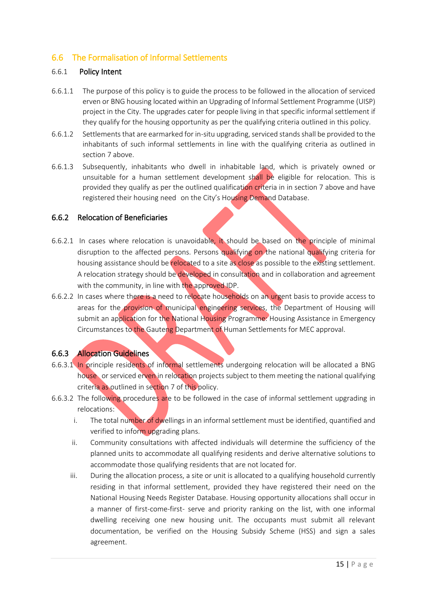### <span id="page-14-1"></span><span id="page-14-0"></span>6.6 The Formalisation of Informal Settlements

#### 6.6.1 Policy Intent

- 6.6.1.1 The purpose of this policy is to guide the process to be followed in the allocation of serviced erven or BNG housing located within an Upgrading of Informal Settlement Programme (UISP) project in the City. The upgrades cater for people living in that specific informal settlement if they qualify for the housing opportunity as per the qualifying criteria outlined in this policy.
- 6.6.1.2 Settlements that are earmarked for in-situ upgrading, serviced stands shall be provided to the inhabitants of such informal settlements in line with the qualifying criteria as outlined in section 7 above.
- 6.6.1.3 Subsequently, inhabitants who dwell in inhabitable land, which is privately owned or unsuitable for a human settlement development shall be eligible for relocation. This is provided they qualify as per the outlined qualification criteria in in section 7 above and have registered their housing need on the City's Housing Demand Database.

#### 6.6.2 Relocation of Beneficiaries

- 6.6.2.1 In cases where relocation is unavoidable, it should be based on the principle of minimal disruption to the affected persons. Persons qualifying on the national qualifying criteria for housing assistance should be relocated to a site as close as possible to the existing settlement. A relocation strategy should be developed in consultation and in collaboration and agreement with the community, in line with the approved IDP.
- 6.6.2.2 In cases where there is a need to relocate households on an urgent basis to provide access to areas for the provision of municipal engineering services, the Department of Housing will submit an application for the National Housing Programme: Housing Assistance in Emergency Circumstances to the Gauteng Department of Human Settlements for MEC approval.

#### 6.6.3 Allocation Guidelines

- 6.6.3.1 In principle residents of informal settlements undergoing relocation will be allocated a BNG house, or serviced erven in relocation projects subject to them meeting the national qualifying criteria as outlined in section 7 of this policy.
- 6.6.3.2 The following procedures are to be followed in the case of informal settlement upgrading in relocations:
	- i. The total number of dwellings in an informal settlement must be identified, quantified and verified to inform upgrading plans.
	- ii. Community consultations with affected individuals will determine the sufficiency of the planned units to accommodate all qualifying residents and derive alternative solutions to accommodate those qualifying residents that are not located for.
	- iii. During the allocation process, a site or unit is allocated to a qualifying household currently residing in that informal settlement, provided they have registered their need on the National Housing Needs Register Database. Housing opportunity allocations shall occur in a manner of first-come-first- serve and priority ranking on the list, with one informal dwelling receiving one new housing unit. The occupants must submit all relevant documentation, be verified on the Housing Subsidy Scheme (HSS) and sign a sales agreement.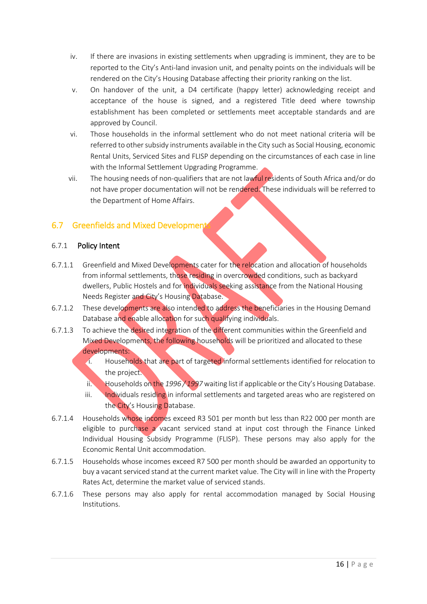- <span id="page-15-1"></span>iv. If there are invasions in existing settlements when upgrading is imminent, they are to be reported to the City's Anti-land invasion unit, and penalty points on the individuals will be rendered on the City's Housing Database affecting their priority ranking on the list.
- v. On handover of the unit, a D4 certificate (happy letter) acknowledging receipt and acceptance of the house is signed, and a registered Title deed where township establishment has been completed or settlements meet acceptable standards and are approved by Council.
- vi. Those households in the informal settlement who do not meet national criteria will be referred to other subsidy instruments available in the City such as Social Housing, economic Rental Units, Serviced Sites and FLISP depending on the circumstances of each case in line with the Informal Settlement Upgrading Programme.
- vii. The housing needs of non-qualifiers that are not lawful residents of South Africa and/or do not have proper documentation will not be rendered. These individuals will be referred to the Department of Home Affairs.

### <span id="page-15-0"></span>6.7 Greenfields and Mixed Development

#### 6.7.1 Policy Intent

- 6.7.1.1 Greenfield and Mixed Developments cater for the relocation and allocation of households from informal settlements, those residing in overcrowded conditions, such as backyard dwellers, Public Hostels and for individuals seeking assistance from the National Housing Needs Register and City's Housing Database.
- 6.7.1.2 These developments are also intended to address the beneficiaries in the Housing Demand Database and enable allocation for such qualifying individuals.
- 6.7.1.3 To achieve the desired integration of the different communities within the Greenfield and Mixed Developments, the following households will be prioritized and allocated to these developments:
	- i. Households that are part of targeted informal settlements identified for relocation to the project.
	- ii. Households on the *1996 / 1997* waiting list if applicable or the City's Housing Database.
	- iii. Individuals residing in informal settlements and targeted areas who are registered on the City's Housing Database.
- 6.7.1.4 Households whose incomes exceed R3 501 per month but less than R22 000 per month are eligible to purchase a vacant serviced stand at input cost through the Finance Linked Individual Housing Subsidy Programme (FLISP). These persons may also apply for the Economic Rental Unit accommodation.
- 6.7.1.5 Households whose incomes exceed R7 500 per month should be awarded an opportunity to buy a vacant serviced stand at the current market value. The City will in line with the Property Rates Act, determine the market value of serviced stands.
- 6.7.1.6 These persons may also apply for rental accommodation managed by Social Housing Institutions.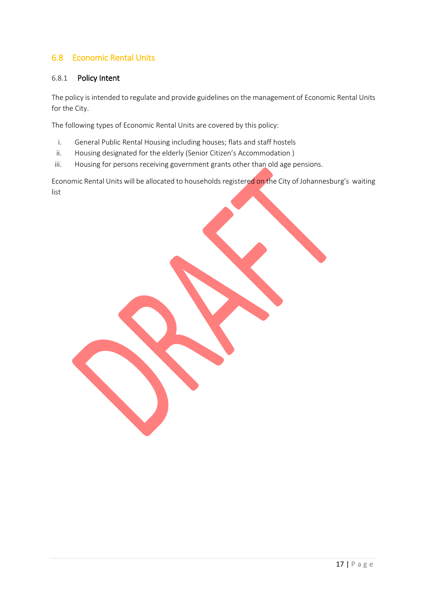# <span id="page-16-1"></span><span id="page-16-0"></span>6.8 Economic Rental Units

#### 6.8.1 Policy Intent

The policy is intended to regulate and provide guidelines on the management of Economic Rental Units for the City.

The following types of Economic Rental Units are covered by this policy:

- i. General Public Rental Housing including houses; flats and staff hostels
- ii. Housing designated for the elderly (Senior Citizen's Accommodation)
- iii. Housing for persons receiving government grants other than old age pensions.

Economic Rental Units will be allocated to households registered on the City of Johannesburg's waiting list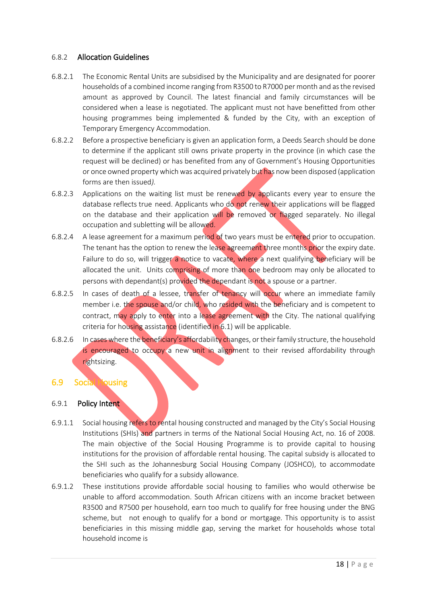#### 6.8.2 Allocation Guidelines

- 6.8.2.1 The Economic Rental Units are subsidised by the Municipality and are designated for poorer households of a combined income ranging from R3500 to R7000 per month and as the revised amount as approved by Council. The latest financial and family circumstances will be considered when a lease is negotiated. The applicant must not have benefitted from other housing programmes being implemented & funded by the City, with an exception of Temporary Emergency Accommodation.
- 6.8.2.2 Before a prospective beneficiary is given an application form, a Deeds Search should be done to determine if the applicant still owns private property in the province (in which case the request will be declined) or has benefited from any of Government's Housing Opportunities or once owned property which was acquired privately but has now been disposed (application forms are then issued*).*
- <span id="page-17-1"></span>6.8.2.3 Applications on the waiting list must be renewed by applicants every year to ensure the database reflects true need. Applicants who do not renew their applications will be flagged on the database and their application will be removed or flagged separately. No illegal occupation and subletting will be allowed.
- 6.8.2.4 A lease agreement for a maximum period of two years must be entered prior to occupation. The tenant has the option to renew the lease agreement three months prior the expiry date. Failure to do so, will trigger a notice to vacate, where a next qualifying beneficiary will be allocated the unit. Units comprising of more than one bedroom may only be allocated to persons with dependant(s) provided the dependant is not a spouse or a partner.
- 6.8.2.5 In cases of death of a lessee, transfer of tenancy will occur where an immediate family member i.e. the spouse and/or child, who resided with the beneficiary and is competent to contract, may apply to enter into a lease agreement with the City. The national qualifying criteria for housing assistance (identified in 6.1) will be applicable.
- 6.8.2.6 In cases where the beneficiary's affordability changes, or their family structure, the household is encouraged to occupy a new unit in alignment to their revised affordability through rightsizing.

#### <span id="page-17-0"></span>6.9 Social Housing

#### 6.9.1 Policy Intent

- 6.9.1.1 Social housing refers to rental housing constructed and managed by the City's Social Housing Institutions (SHIs) and partners in terms of the National Social Housing Act, no. 16 of 2008. The main objective of the Social Housing Programme is to provide capital to housing institutions for the provision of affordable rental housing. The capital subsidy is allocated to the SHI such as the Johannesburg Social Housing Company (JOSHCO), to accommodate beneficiaries who qualify for a subsidy allowance.
- 6.9.1.2 These institutions provide affordable social housing to families who would otherwise be unable to afford accommodation. South African citizens with an income bracket between R3500 and R7500 per household, earn too much to qualify for free housing under the BNG scheme, but not enough to qualify for a bond or mortgage. This opportunity is to assist beneficiaries in this missing middle gap, serving the market for households whose total household income is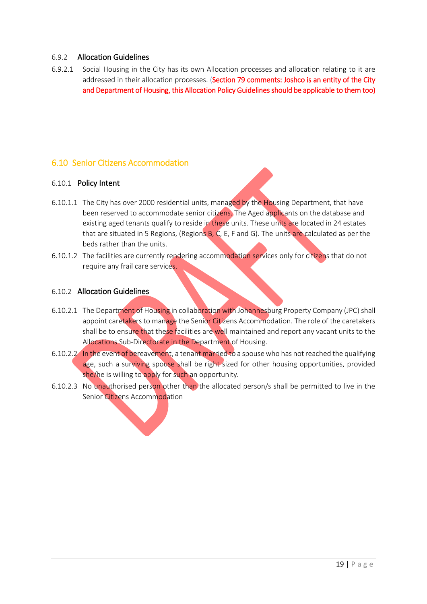#### <span id="page-18-1"></span>6.9.2 Allocation Guidelines

6.9.2.1 Social Housing in the City has its own Allocation processes and allocation relating to it are addressed in their allocation processes. (Section 79 comments: Joshco is an entity of the City and Department of Housing, this Allocation Policy Guidelines should be applicable to them too)

#### <span id="page-18-0"></span>6.10 Senior Citizens Accommodation

#### 6.10.1 Policy Intent

- 6.10.1.1 The City has over 2000 residential units, managed by the Housing Department, that have been reserved to accommodate senior citizens. The Aged applicants on the database and existing aged tenants qualify to reside in these units. These units are located in 24 estates that are situated in 5 Regions, (Regions  $B$ ,  $C$ ,  $E$ ,  $F$  and  $G$ ). The units are calculated as per the beds rather than the units.
- 6.10.1.2 The facilities are currently rendering accommodation services only for citizens that do not require any frail care services.

#### 6.10.2 Allocation Guidelines

- 6.10.2.1 The Department of Housing in collaboration with Johannesburg Property Company (JPC) shall appoint caretakers to manage the Senior Citizens Accommodation. The role of the caretakers shall be to ensure that these facilities are well maintained and report any vacant units to the Allocations Sub-Directorate in the Department of Housing.
- 6.10.2.2 In the event of bereavement, a tenant married to a spouse who has not reached the qualifying age, such a surviving spouse shall be right sized for other housing opportunities, provided she/he is willing to apply for such an opportunity*.*
- 6.10.2.3 No unauthorised person other than the allocated person/s shall be permitted to live in the Senior Citizens Accommodation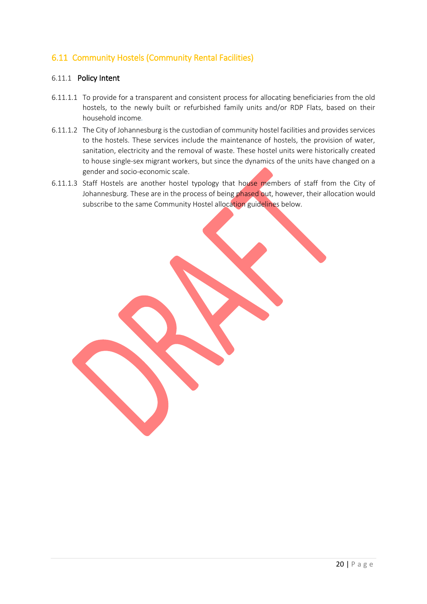## <span id="page-19-1"></span><span id="page-19-0"></span>6.11 Community Hostels (Community Rental Facilities)

#### 6.11.1 Policy Intent

- 6.11.1.1 To provide for a transparent and consistent process for allocating beneficiaries from the old hostels, to the newly built or refurbished family units and/or RDP Flats, based on their household income*.*
- 6.11.1.2 The City of Johannesburg is the custodian of community hostel facilities and provides services to the hostels. These services include the maintenance of hostels, the provision of water, sanitation, electricity and the removal of waste. These hostel units were historically created to house single-sex migrant workers, but since the dynamics of the units have changed on a gender and socio-economic scale.
- 6.11.1.3 Staff Hostels are another hostel typology that house members of staff from the City of Johannesburg. These are in the process of being phased out, however, their allocation would subscribe to the same Community Hostel allocation guidelines below*.*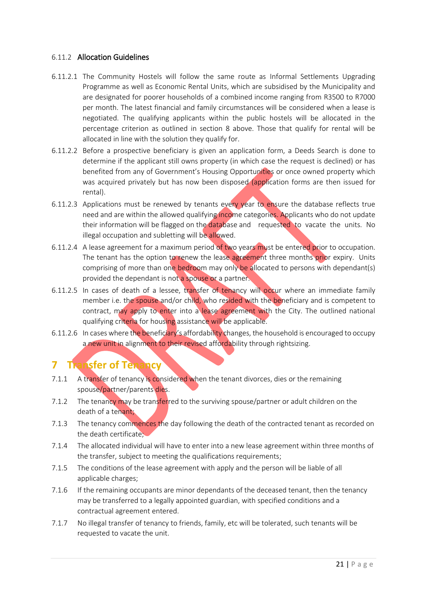#### 6.11.2 Allocation Guidelines

- 6.11.2.1 The Community Hostels will follow the same route as Informal Settlements Upgrading Programme as well as Economic Rental Units, which are subsidised by the Municipality and are designated for poorer households of a combined income ranging from R3500 to R7000 per month. The latest financial and family circumstances will be considered when a lease is negotiated. The qualifying applicants within the public hostels will be allocated in the percentage criterion as outlined in section 8 above. Those that qualify for rental will be allocated in line with the solution they qualify for.
- 6.11.2.2 Before a prospective beneficiary is given an application form, a Deeds Search is done to determine if the applicant still owns property (in which case the request is declined) or has benefited from any of Government's Housing Opportunities or once owned property which was acquired privately but has now been disposed (application forms are then issued for rental).
- 6.11.2.3 Applications must be renewed by tenants every year to ensure the database reflects true need and are within the allowed qualifying income categories. Applicants who do not update their information will be flagged on the database and requested to vacate the units. No illegal occupation and subletting will be allowed.
- 6.11.2.4 A lease agreement for a maximum period of two years must be entered prior to occupation. The tenant has the option to renew the lease agreement three months prior expiry. Units comprising of more than one bedroom may only be allocated to persons with dependant(s) provided the dependant is not a spouse or a partner.
- 6.11.2.5 In cases of death of a lessee, transfer of tenancy will occur where an immediate family member i.e. the spouse and/or child, who resided with the beneficiary and is competent to contract, may apply to enter into a lease agreement with the City. The outlined national qualifying criteria for housing assistance will be applicable.
- 6.11.2.6 In cases where the beneficiary's affordability changes, the household is encouraged to occupy a new unit in alignment to their revised affordability through rightsizing.

# <span id="page-20-0"></span>**7 Transfer of Tenancy**

- 7.1.1 A transfer of tenancy is considered when the tenant divorces, dies or the remaining spouse/partner/parents dies.
- 7.1.2 The tenancy may be transferred to the surviving spouse/partner or adult children on the death of a tenant;
- 7.1.3 The tenancy commences the day following the death of the contracted tenant as recorded on the death certificate;
- 7.1.4 The allocated individual will have to enter into a new lease agreement within three months of the transfer, subject to meeting the qualifications requirements;
- 7.1.5 The conditions of the lease agreement with apply and the person will be liable of all applicable charges;
- 7.1.6 If the remaining occupants are minor dependants of the deceased tenant, then the tenancy may be transferred to a legally appointed guardian, with specified conditions and a contractual agreement entered.
- 7.1.7 No illegal transfer of tenancy to friends, family, etc will be tolerated, such tenants will be requested to vacate the unit.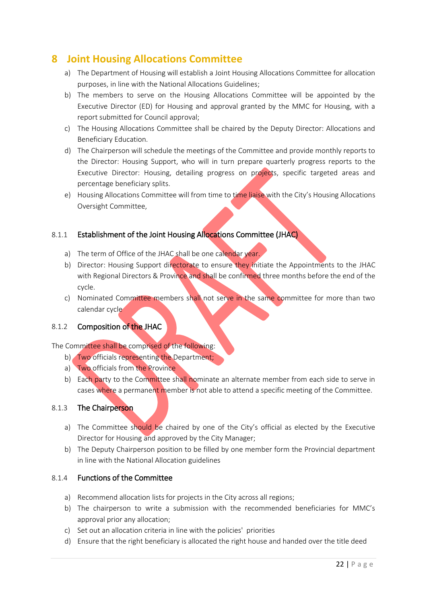# <span id="page-21-0"></span>**8 Joint Housing Allocations Committee**

- a) The Department of Housing will establish a Joint Housing Allocations Committee for allocation purposes, in line with the National Allocations Guidelines;
- b) The members to serve on the Housing Allocations Committee will be appointed by the Executive Director (ED) for Housing and approval granted by the MMC for Housing, with a report submitted for Council approval;
- c) The Housing Allocations Committee shall be chaired by the Deputy Director: Allocations and Beneficiary Education.
- d) The Chairperson will schedule the meetings of the Committee and provide monthly reports to the Director: Housing Support, who will in turn prepare quarterly progress reports to the Executive Director: Housing, detailing progress on projects, specific targeted areas and percentage beneficiary splits.
- e) Housing Allocations Committee will from time to time liaise with the City's Housing Allocations Oversight Committee,

#### 8.1.1 Establishment of the Joint Housing Allocations Committee (JHAC)

- a) The term of Office of the JHAC shall be one calendar year.
- b) Director: Housing Support directorate to ensure they initiate the Appointments to the JHAC with Regional Directors & Province and shall be confirmed three months before the end of the cycle.
- c) Nominated Committee members shall not serve in the same committee for more than two calendar cycle

#### 8.1.2 Composition of the JHAC

#### The Committee shall be comprised of the following:

- b) Two officials representing the Department;
- a) Two officials from the Province
- b) Each party to the Committee shall nominate an alternate member from each side to serve in cases where a permanent member is not able to attend a specific meeting of the Committee.

#### 8.1.3 The Chairperson

- a) The Committee should be chaired by one of the City's official as elected by the Executive Director for Housing and approved by the City Manager;
- b) The Deputy Chairperson position to be filled by one member form the Provincial department in line with the National Allocation guidelines

#### 8.1.4 Functions of the Committee

- a) Recommend allocation lists for projects in the City across all regions;
- b) The chairperson to write a submission with the recommended beneficiaries for MMC's approval prior any allocation;
- c) Set out an allocation criteria in line with the policies' priorities
- d) Ensure that the right beneficiary is allocated the right house and handed over the title deed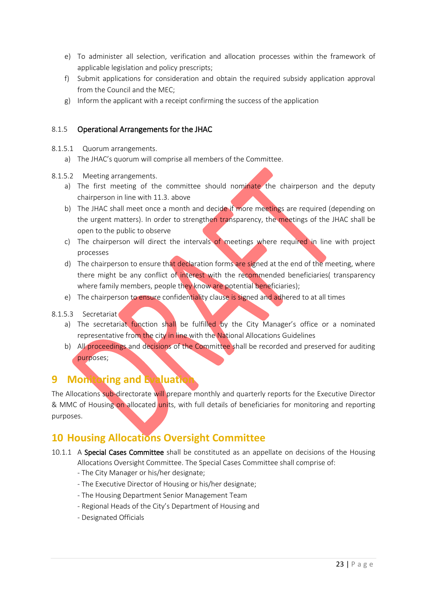- e) To administer all selection, verification and allocation processes within the framework of applicable legislation and policy prescripts;
- f) Submit applications for consideration and obtain the required subsidy application approval from the Council and the MEC;
- g) Inform the applicant with a receipt confirming the success of the application

#### 8.1.5 Operational Arrangements for the JHAC

- 8.1.5.1 Quorum arrangements.
	- a) The JHAC's quorum will comprise all members of the Committee.
- 8.1.5.2 Meeting arrangements.
	- a) The first meeting of the committee should nominate the chairperson and the deputy chairperson in line with 11.3. above
	- b) The JHAC shall meet once a month and decide if more meetings are required (depending on the urgent matters). In order to strengthen transparency, the meetings of the JHAC shall be open to the public to observe
	- c) The chairperson will direct the intervals of meetings where required in line with project processes
	- d) The chairperson to ensure that declaration forms are signed at the end of the meeting, where there might be any conflict of interest with the recommended beneficiaries( transparency where family members, people they know are potential beneficiaries);
	- e) The chairperson to ensure confidentiality clause is signed and adhered to at all times
- 8.1.5.3 Secretariat
	- a) The secretariat function shall be fulfilled by the City Manager's office or a nominated representative from the city in line with the National Allocations Guidelines
	- b) All proceedings and decisions of the Committee shall be recorded and preserved for auditing purposes;

# <span id="page-22-0"></span>**9 Monitoring and Evaluation**

The Allocations sub-directorate will prepare monthly and quarterly reports for the Executive Director & MMC of Housing on allocated units, with full details of beneficiaries for monitoring and reporting purposes.

# <span id="page-22-1"></span>**10 Housing Allocations Oversight Committee**

- 10.1.1 A Special Cases Committee shall be constituted as an appellate on decisions of the Housing Allocations Oversight Committee. The Special Cases Committee shall comprise of:
	- The City Manager or his/her designate;
	- The Executive Director of Housing or his/her designate;
	- The Housing Department Senior Management Team
	- Regional Heads of the City's Department of Housing and
	- Designated Officials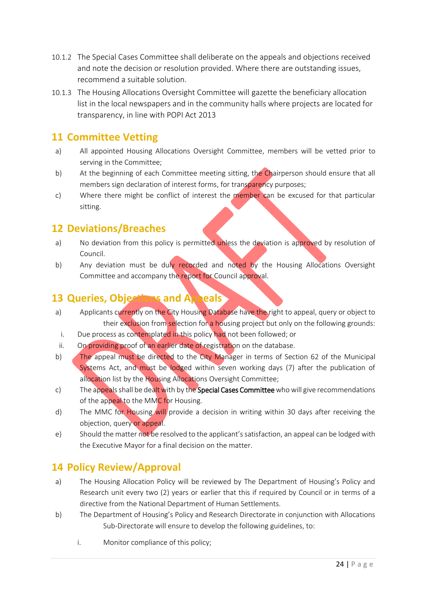- 10.1.2 The Special Cases Committee shall deliberate on the appeals and objections received and note the decision or resolution provided. Where there are outstanding issues, recommend a suitable solution.
- 10.1.3 The Housing Allocations Oversight Committee will gazette the beneficiary allocation list in the local newspapers and in the community halls where projects are located for transparency, in line with POPI Act 2013

# <span id="page-23-0"></span>**11 Committee Vetting**

- a) All appointed Housing Allocations Oversight Committee, members will be vetted prior to serving in the Committee;
- b) At the beginning of each Committee meeting sitting, the Chairperson should ensure that all members sign declaration of interest forms, for transparency purposes;
- c) Where there might be conflict of interest the member can be excused for that particular sitting.

# <span id="page-23-1"></span>**12 Deviations/Breaches**

- a) No deviation from this policy is permitted unless the deviation is approved by resolution of Council.
- b) Any deviation must be duly recorded and noted by the Housing Allocations Oversight Committee and accompany the report for Council approval.

# <span id="page-23-2"></span>**13 Queries, Objections and Appeals**

- a) Applicants currently on the City Housing Database have the right to appeal, query or object to their exclusion from selection for a housing project but only on the following grounds:
- i. Due process as contemplated in this policy had not been followed; or
- ii. On providing proof of an earlier date of registration on the database.
- b) The appeal must be directed to the City Manager in terms of Section 62 of the Municipal Systems Act, and must be lodged within seven working days (7) after the publication of allocation list by the Housing Allocations Oversight Committee;
- c) The appeals shall be dealt with by the **Special Cases Committee** who will give recommendations of the appeal to the MMC for Housing.
- d) The MMC for Housing will provide a decision in writing within 30 days after receiving the objection, query or appeal.
- e) Should the matter not be resolved to the applicant's satisfaction, an appeal can be lodged with the Executive Mayor for a final decision on the matter.

# <span id="page-23-3"></span>**14 Policy Review/Approval**

- a) The Housing Allocation Policy will be reviewed by The Department of Housing's Policy and Research unit every two (2) years or earlier that this if required by Council or in terms of a directive from the National Department of Human Settlements.
- b) The Department of Housing's Policy and Research Directorate in conjunction with Allocations Sub-Directorate will ensure to develop the following guidelines, to:
	- i. Monitor compliance of this policy;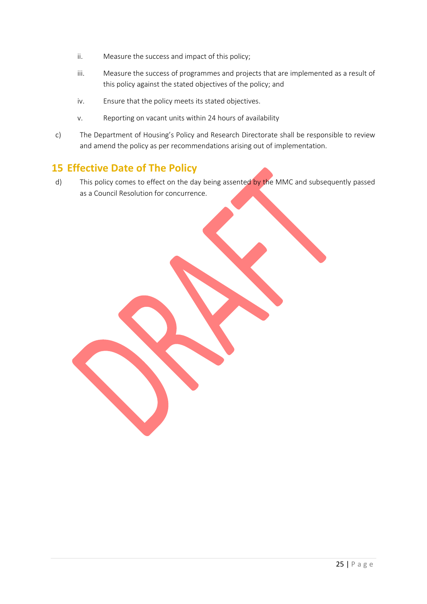- ii. Measure the success and impact of this policy;
- iii. Measure the success of programmes and projects that are implemented as a result of this policy against the stated objectives of the policy; and
- iv. Ensure that the policy meets its stated objectives.
- v. Reporting on vacant units within 24 hours of availability
- c) The Department of Housing's Policy and Research Directorate shall be responsible to review and amend the policy as per recommendations arising out of implementation.

# <span id="page-24-0"></span>**15 Effective Date of The Policy**

d) This policy comes to effect on the day being assented by the MMC and subsequently passed as a Council Resolution for concurrence.